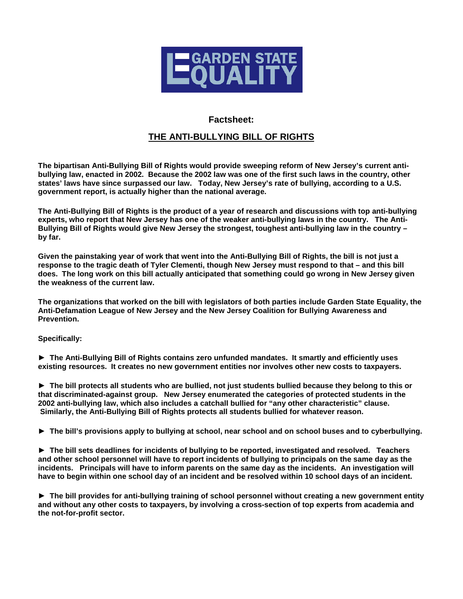

## **Factsheet:**

## **THE ANTI-BULLYING BILL OF RIGHTS**

**The bipartisan Anti-Bullying Bill of Rights would provide sweeping reform of New Jersey's current antibullying law, enacted in 2002. Because the 2002 law was one of the first such laws in the country, other states' laws have since surpassed our law. Today, New Jersey's rate of bullying, according to a U.S. government report, is actually higher than the national average.** 

**The Anti-Bullying Bill of Rights is the product of a year of research and discussions with top anti-bullying experts, who report that New Jersey has one of the weaker anti-bullying laws in the country. The Anti-Bullying Bill of Rights would give New Jersey the strongest, toughest anti-bullying law in the country – by far.** 

**Given the painstaking year of work that went into the Anti-Bullying Bill of Rights, the bill is not just a response to the tragic death of Tyler Clementi, though New Jersey must respond to that – and this bill does. The long work on this bill actually anticipated that something could go wrong in New Jersey given the weakness of the current law.** 

**The organizations that worked on the bill with legislators of both parties include Garden State Equality, the Anti-Defamation League of New Jersey and the New Jersey Coalition for Bullying Awareness and Prevention.** 

**Specifically:** 

► **The Anti-Bullying Bill of Rights contains zero unfunded mandates. It smartly and efficiently uses existing resources. It creates no new government entities nor involves other new costs to taxpayers.** 

► **The bill protects all students who are bullied, not just students bullied because they belong to this or that discriminated-against group. New Jersey enumerated the categories of protected students in the 2002 anti-bullying law, which also includes a catchall bullied for "any other characteristic" clause. Similarly, the Anti-Bullying Bill of Rights protects all students bullied for whatever reason.** 

► **The bill's provisions apply to bullying at school, near school and on school buses and to cyberbullying.** 

► **The bill sets deadlines for incidents of bullying to be reported, investigated and resolved. Teachers and other school personnel will have to report incidents of bullying to principals on the same day as the incidents. Principals will have to inform parents on the same day as the incidents. An investigation will have to begin within one school day of an incident and be resolved within 10 school days of an incident.** 

► **The bill provides for anti-bullying training of school personnel without creating a new government entity and without any other costs to taxpayers, by involving a cross-section of top experts from academia and the not-for-profit sector.**